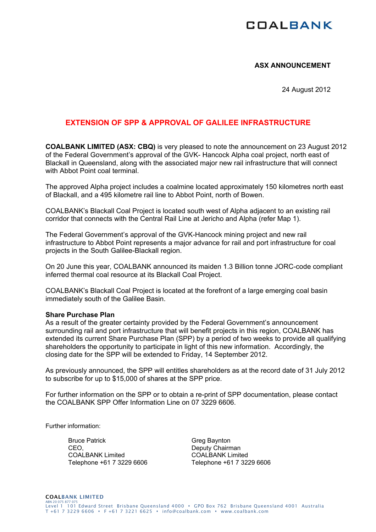# **COALBANK**

### **ASX ANNOUNCEMENT**

24 August 2012

## **EXTENSION OF SPP & APPROVAL OF GALILEE INFRASTRUCTURE**

**COALBANK LIMITED (ASX: CBQ)** is very pleased to note the announcement on 23 August 2012 of the Federal Government's approval of the GVK- Hancock Alpha coal project, north east of Blackall in Queensland, along with the associated major new rail infrastructure that will connect with Abbot Point coal terminal.

The approved Alpha project includes a coalmine located approximately 150 kilometres north east of Blackall, and a 495 kilometre rail line to Abbot Point, north of Bowen.

COALBANK's Blackall Coal Project is located south west of Alpha adjacent to an existing rail corridor that connects with the Central Rail Line at Jericho and Alpha (refer Map 1).

The Federal Government's approval of the GVK-Hancock mining project and new rail infrastructure to Abbot Point represents a major advance for rail and port infrastructure for coal projects in the South Galilee-Blackall region.

On 20 June this year, COALBANK announced its maiden 1.3 Billion tonne JORC-code compliant inferred thermal coal resource at its Blackall Coal Project.

COALBANK's Blackall Coal Project is located at the forefront of a large emerging coal basin immediately south of the Galilee Basin.

#### **Share Purchase Plan**

As a result of the greater certainty provided by the Federal Government's announcement surrounding rail and port infrastructure that will benefit projects in this region, COALBANK has extended its current Share Purchase Plan (SPP) by a period of two weeks to provide all qualifying shareholders the opportunity to participate in light of this new information. Accordingly, the closing date for the SPP will be extended to Friday, 14 September 2012.

As previously announced, the SPP will entitles shareholders as at the record date of 31 July 2012 to subscribe for up to \$15,000 of shares at the SPP price.

For further information on the SPP or to obtain a re-print of SPP documentation, please contact the COALBANK SPP Offer Information Line on 07 3229 6606.

Further information:

Bruce Patrick CEO, COALBANK Limited Telephone +61 7 3229 6606

Greg Baynton Deputy Chairman COALBANK Limited Telephone +61 7 3229 6606